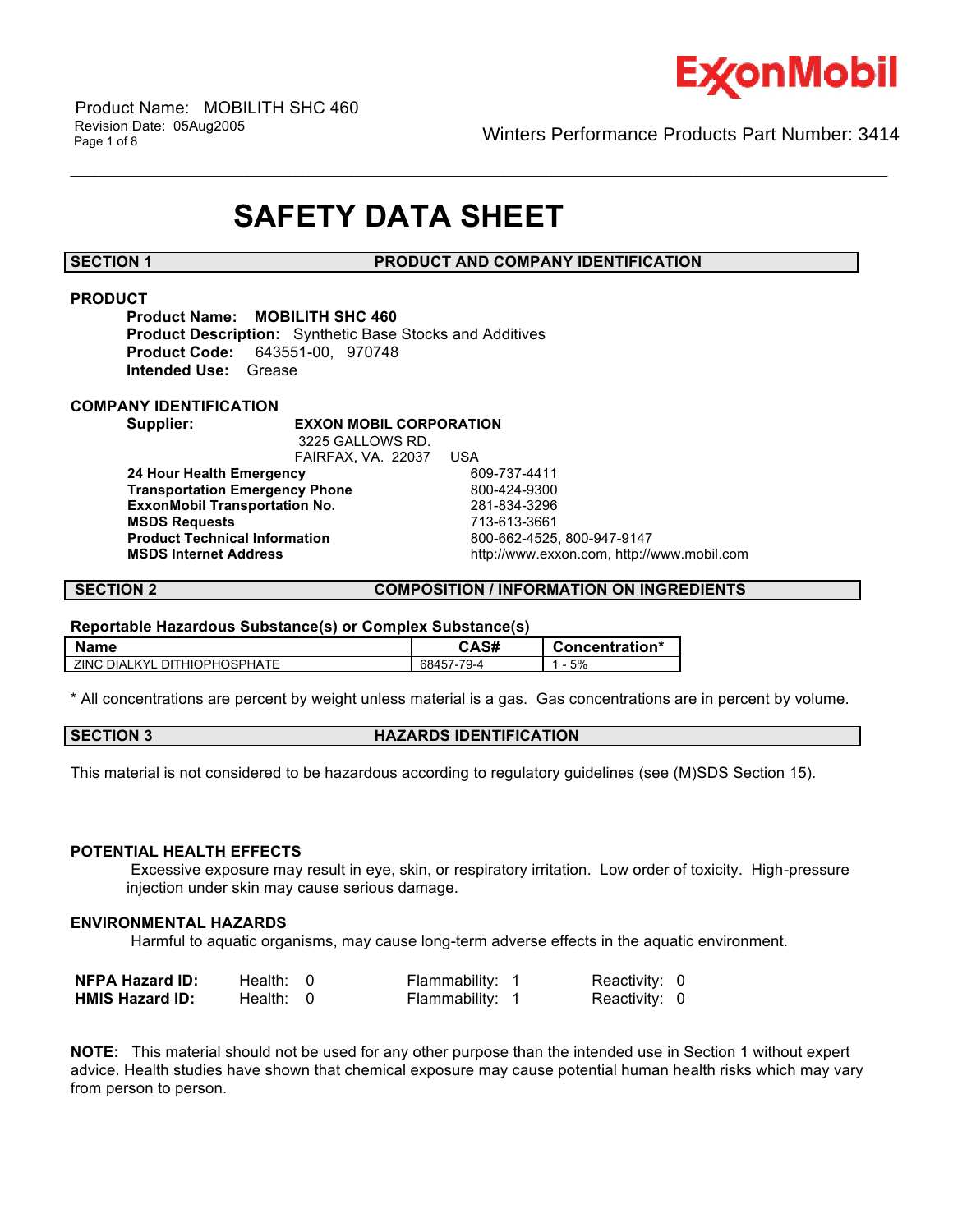

Winters Performance Products Part Number: 3414

# **SAFETY DATA SHEET**

### **SECTION 1 PRODUCT AND COMPANY IDENTIFICATION**

\_\_\_\_\_\_\_\_\_\_\_\_\_\_\_\_\_\_\_\_\_\_\_\_\_\_\_\_\_\_\_\_\_\_\_\_\_\_\_\_\_\_\_\_\_\_\_\_\_\_\_\_\_\_\_\_\_\_\_\_\_\_\_\_\_\_\_\_\_\_\_\_\_\_\_\_\_\_\_\_\_\_\_\_\_\_\_\_\_\_\_\_\_\_\_\_\_\_\_\_\_\_\_\_\_\_\_\_\_\_\_\_\_\_\_\_\_\_

### **PRODUCT**

**Product Name: MOBILITH SHC 460 Product Description:** Synthetic Base Stocks and Additives **Product Code:** 643551-00, 970748 **Intended Use:** Grease

#### **COMPANY IDENTIFICATION**

#### **Supplier: EXXON MOBIL CORPORATION**

 3225 GALLOWS RD. FAIRFAX, VA. 22037 USA **24 Hour Health Emergency 609-737-4411<br>Transportation Emergency Phone 600-424-9300 Transportation Emergency Phone** 800-424-9300 **ExxonMobil Transportation No. MSDS Requests** 713-613-3661 **Product Technical Information**<br>MSDS Internet Address

 **MSDS Internet Address** http://www.exxon.com, http://www.mobil.com

### **SECTION 2 COMPOSITION / INFORMATION ON INGREDIENTS**

#### **Reportable Hazardous Substance(s) or Complex Substance(s)**

| <b>Name</b>                  | CAS#       | Concentration* |
|------------------------------|------------|----------------|
| ZINC DIALKYL DITHIOPHOSPHATE | 68457-79-4 | 5%             |

\* All concentrations are percent by weight unless material is a gas. Gas concentrations are in percent by volume.

|--|

This material is not considered to be hazardous according to regulatory guidelines (see (M)SDS Section 15).

#### **POTENTIAL HEALTH EFFECTS**

 Excessive exposure may result in eye, skin, or respiratory irritation. Low order of toxicity. High-pressure injection under skin may cause serious damage.

#### **ENVIRONMENTAL HAZARDS**

Harmful to aquatic organisms, may cause long-term adverse effects in the aquatic environment.

| <b>NFPA Hazard ID:</b> | Health: 0   | Flammability: 1 | Reactivity: 0 |  |
|------------------------|-------------|-----------------|---------------|--|
| <b>HMIS Hazard ID:</b> | Health: $0$ | Flammability: 1 | Reactivity: 0 |  |

**NOTE:** This material should not be used for any other purpose than the intended use in Section 1 without expert advice. Health studies have shown that chemical exposure may cause potential human health risks which may vary from person to person.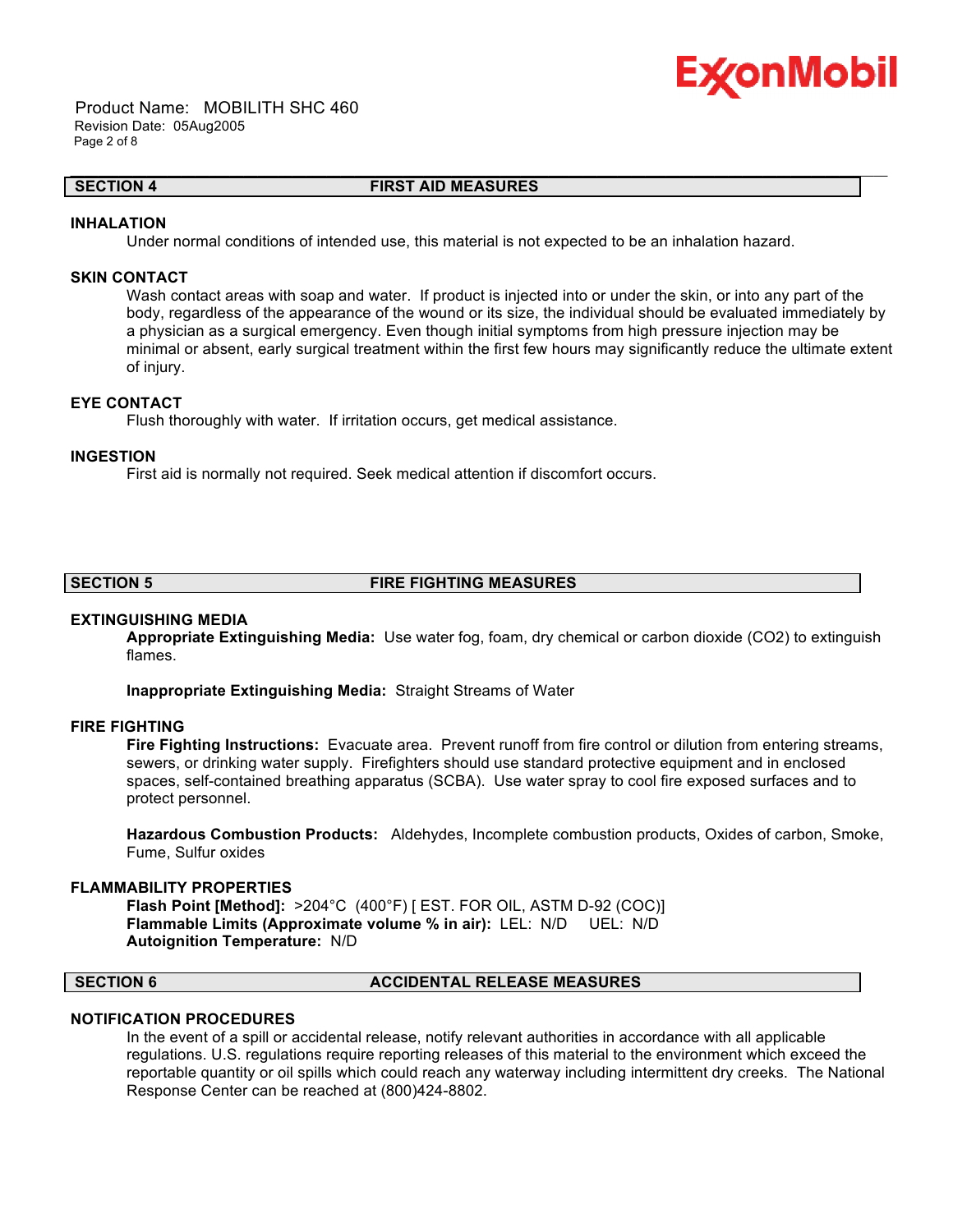

 Product Name: MOBILITH SHC 460 Revision Date: 05Aug2005 Page 2 of 8

#### **SECTION 4 FIRST AID MEASURES**

\_\_\_\_\_\_\_\_\_\_\_\_\_\_\_\_\_\_\_\_\_\_\_\_\_\_\_\_\_\_\_\_\_\_\_\_\_\_\_\_\_\_\_\_\_\_\_\_\_\_\_\_\_\_\_\_\_\_\_\_\_\_\_\_\_\_\_\_\_\_\_\_\_\_\_\_\_\_\_\_\_\_\_\_\_\_\_\_\_\_\_\_\_\_\_\_\_\_\_\_\_\_\_\_\_\_\_\_\_\_\_\_\_\_\_\_\_\_

#### **INHALATION**

Under normal conditions of intended use, this material is not expected to be an inhalation hazard.

#### **SKIN CONTACT**

Wash contact areas with soap and water. If product is injected into or under the skin, or into any part of the body, regardless of the appearance of the wound or its size, the individual should be evaluated immediately by a physician as a surgical emergency. Even though initial symptoms from high pressure injection may be minimal or absent, early surgical treatment within the first few hours may significantly reduce the ultimate extent of injury.

### **EYE CONTACT**

Flush thoroughly with water. If irritation occurs, get medical assistance.

#### **INGESTION**

First aid is normally not required. Seek medical attention if discomfort occurs.

### **SECTION 5 FIRE FIGHTING MEASURES**

#### **EXTINGUISHING MEDIA**

**Appropriate Extinguishing Media:** Use water fog, foam, dry chemical or carbon dioxide (CO2) to extinguish flames.

**Inappropriate Extinguishing Media:** Straight Streams of Water

#### **FIRE FIGHTING**

**Fire Fighting Instructions:** Evacuate area. Prevent runoff from fire control or dilution from entering streams, sewers, or drinking water supply. Firefighters should use standard protective equipment and in enclosed spaces, self-contained breathing apparatus (SCBA). Use water spray to cool fire exposed surfaces and to protect personnel.

**Hazardous Combustion Products:** Aldehydes, Incomplete combustion products, Oxides of carbon, Smoke, Fume, Sulfur oxides

#### **FLAMMABILITY PROPERTIES**

**Flash Point [Method]:** >204°C (400°F) [ EST. FOR OIL, ASTM D-92 (COC)] **Flammable Limits (Approximate volume % in air):** LEL: N/D UEL: N/D **Autoignition Temperature:** N/D

#### **SECTION 6 ACCIDENTAL RELEASE MEASURES**

#### **NOTIFICATION PROCEDURES**

In the event of a spill or accidental release, notify relevant authorities in accordance with all applicable regulations. U.S. regulations require reporting releases of this material to the environment which exceed the reportable quantity or oil spills which could reach any waterway including intermittent dry creeks. The National Response Center can be reached at (800)424-8802.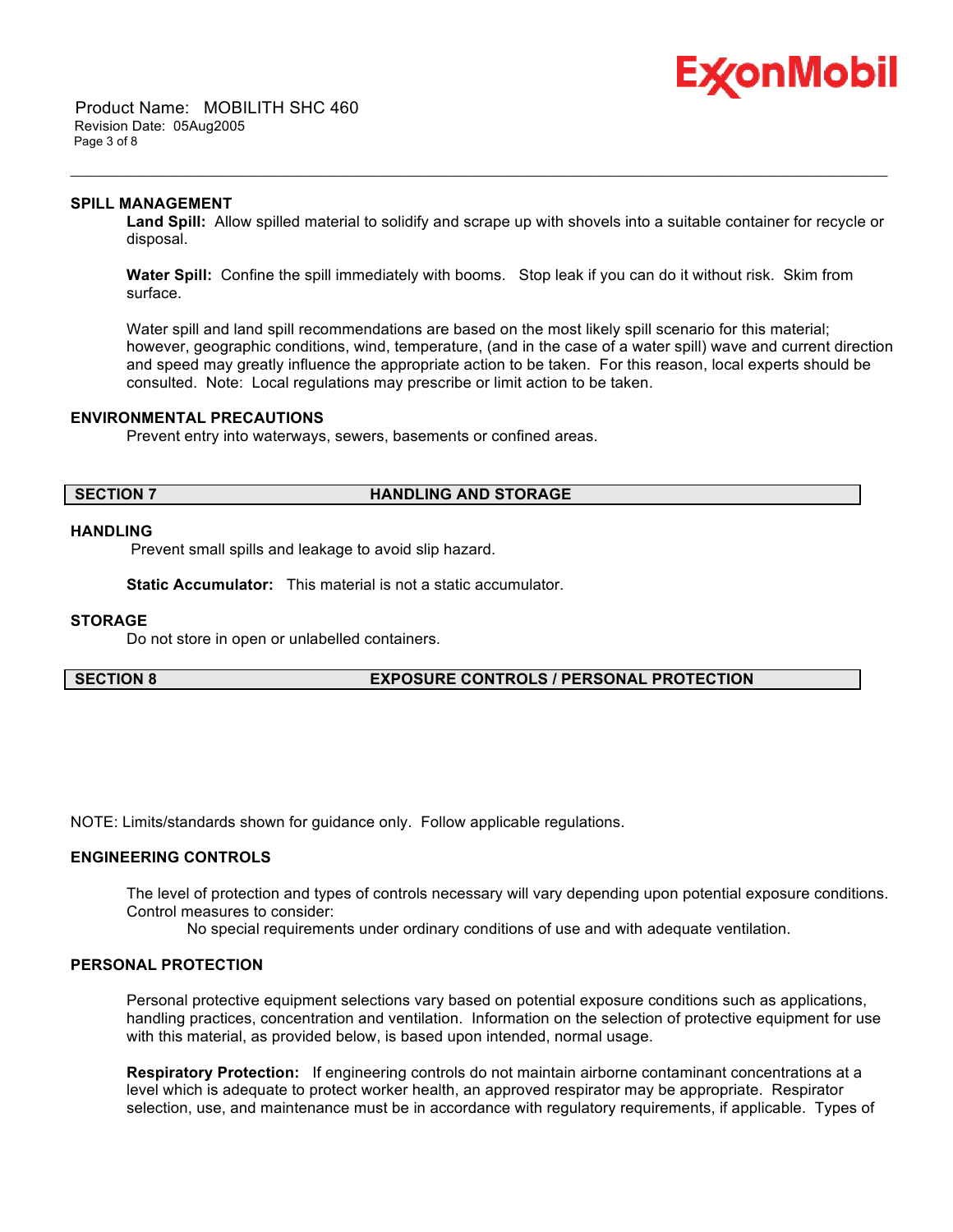

 Product Name: MOBILITH SHC 460 Revision Date: 05Aug2005 Page 3 of 8

#### **SPILL MANAGEMENT**

**Land Spill:** Allow spilled material to solidify and scrape up with shovels into a suitable container for recycle or disposal.

**Water Spill:** Confine the spill immediately with booms. Stop leak if you can do it without risk. Skim from surface.

\_\_\_\_\_\_\_\_\_\_\_\_\_\_\_\_\_\_\_\_\_\_\_\_\_\_\_\_\_\_\_\_\_\_\_\_\_\_\_\_\_\_\_\_\_\_\_\_\_\_\_\_\_\_\_\_\_\_\_\_\_\_\_\_\_\_\_\_\_\_\_\_\_\_\_\_\_\_\_\_\_\_\_\_\_\_\_\_\_\_\_\_\_\_\_\_\_\_\_\_\_\_\_\_\_\_\_\_\_\_\_\_\_\_\_\_\_\_

Water spill and land spill recommendations are based on the most likely spill scenario for this material; however, geographic conditions, wind, temperature, (and in the case of a water spill) wave and current direction and speed may greatly influence the appropriate action to be taken. For this reason, local experts should be consulted. Note: Local regulations may prescribe or limit action to be taken.

#### **ENVIRONMENTAL PRECAUTIONS**

Prevent entry into waterways, sewers, basements or confined areas.

#### **SECTION 7 HANDLING AND STORAGE**

#### **HANDLING**

Prevent small spills and leakage to avoid slip hazard.

**Static Accumulator:** This material is not a static accumulator.

#### **STORAGE**

Do not store in open or unlabelled containers.

### **SECTION 8 EXPOSURE CONTROLS / PERSONAL PROTECTION**

NOTE: Limits/standards shown for guidance only. Follow applicable regulations.

### **ENGINEERING CONTROLS**

The level of protection and types of controls necessary will vary depending upon potential exposure conditions. Control measures to consider:

No special requirements under ordinary conditions of use and with adequate ventilation.

#### **PERSONAL PROTECTION**

Personal protective equipment selections vary based on potential exposure conditions such as applications, handling practices, concentration and ventilation. Information on the selection of protective equipment for use with this material, as provided below, is based upon intended, normal usage.

**Respiratory Protection:** If engineering controls do not maintain airborne contaminant concentrations at a level which is adequate to protect worker health, an approved respirator may be appropriate. Respirator selection, use, and maintenance must be in accordance with regulatory requirements, if applicable. Types of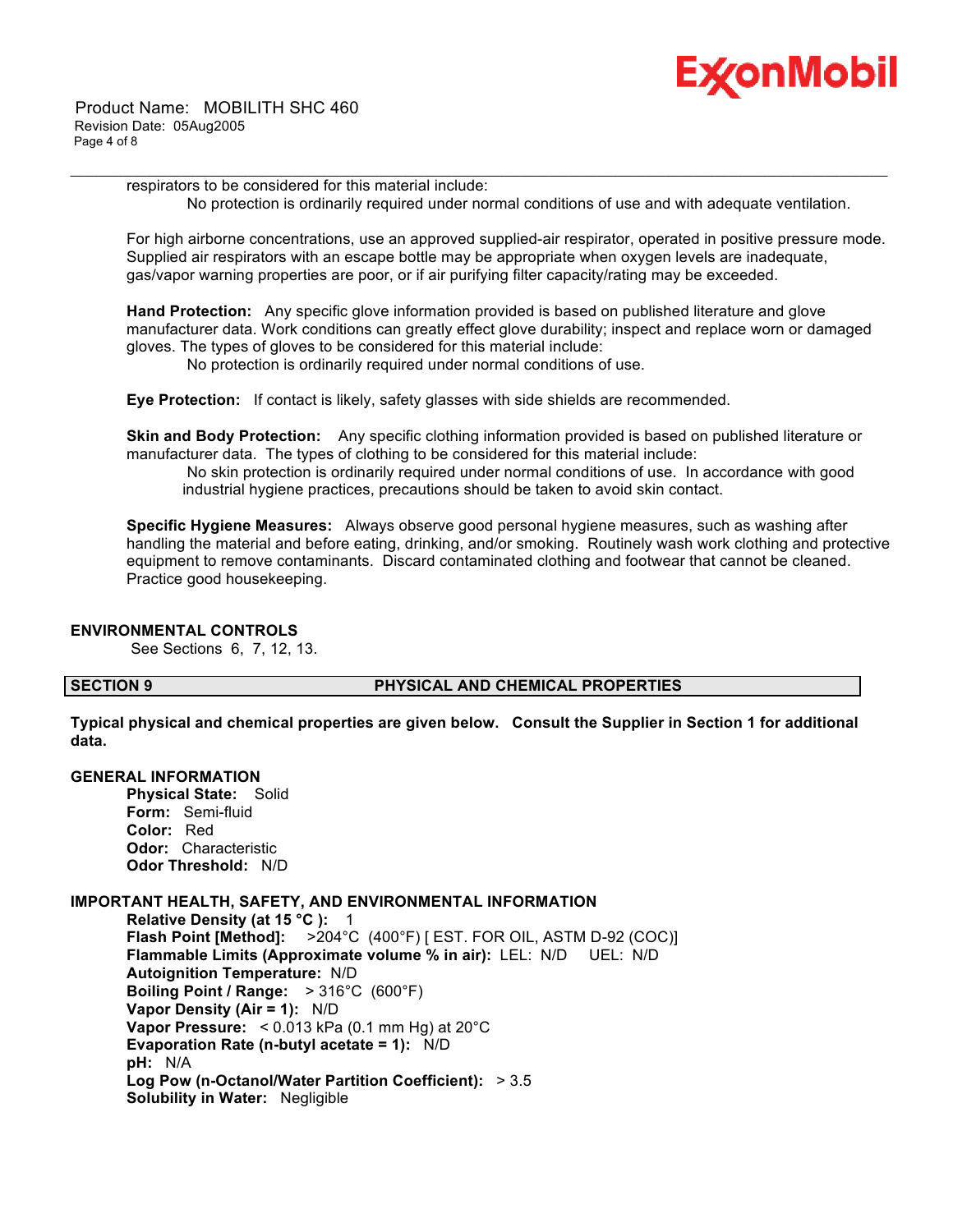

respirators to be considered for this material include: No protection is ordinarily required under normal conditions of use and with adequate ventilation.

\_\_\_\_\_\_\_\_\_\_\_\_\_\_\_\_\_\_\_\_\_\_\_\_\_\_\_\_\_\_\_\_\_\_\_\_\_\_\_\_\_\_\_\_\_\_\_\_\_\_\_\_\_\_\_\_\_\_\_\_\_\_\_\_\_\_\_\_\_\_\_\_\_\_\_\_\_\_\_\_\_\_\_\_\_\_\_\_\_\_\_\_\_\_\_\_\_\_\_\_\_\_\_\_\_\_\_\_\_\_\_\_\_\_\_\_\_\_

For high airborne concentrations, use an approved supplied-air respirator, operated in positive pressure mode. Supplied air respirators with an escape bottle may be appropriate when oxygen levels are inadequate, gas/vapor warning properties are poor, or if air purifying filter capacity/rating may be exceeded.

**Hand Protection:** Any specific glove information provided is based on published literature and glove manufacturer data. Work conditions can greatly effect glove durability; inspect and replace worn or damaged gloves. The types of gloves to be considered for this material include:

No protection is ordinarily required under normal conditions of use.

**Eye Protection:** If contact is likely, safety glasses with side shields are recommended.

**Skin and Body Protection:** Any specific clothing information provided is based on published literature or manufacturer data. The types of clothing to be considered for this material include:

 No skin protection is ordinarily required under normal conditions of use. In accordance with good industrial hygiene practices, precautions should be taken to avoid skin contact.

**Specific Hygiene Measures:** Always observe good personal hygiene measures, such as washing after handling the material and before eating, drinking, and/or smoking. Routinely wash work clothing and protective equipment to remove contaminants. Discard contaminated clothing and footwear that cannot be cleaned. Practice good housekeeping.

### **ENVIRONMENTAL CONTROLS**

See Sections 6, 7, 12, 13.

### **SECTION 9 PHYSICAL AND CHEMICAL PROPERTIES**

**Typical physical and chemical properties are given below. Consult the Supplier in Section 1 for additional data.**

### **GENERAL INFORMATION**

**Physical State:** Solid **Form:** Semi-fluid **Color:** Red **Odor:** Characteristic **Odor Threshold:** N/D

### **IMPORTANT HEALTH, SAFETY, AND ENVIRONMENTAL INFORMATION**

**Relative Density (at 15 °C ):** 1 **Flash Point [Method]:** >204°C (400°F) [ EST. FOR OIL, ASTM D-92 (COC)] **Flammable Limits (Approximate volume % in air):** LEL: N/D UEL: N/D **Autoignition Temperature:** N/D **Boiling Point / Range:** > 316°C (600°F) **Vapor Density (Air = 1):** N/D **Vapor Pressure:** < 0.013 kPa (0.1 mm Hg) at 20°C **Evaporation Rate (n-butyl acetate = 1):** N/D **pH:** N/A **Log Pow (n-Octanol/Water Partition Coefficient):** > 3.5 **Solubility in Water:** Negligible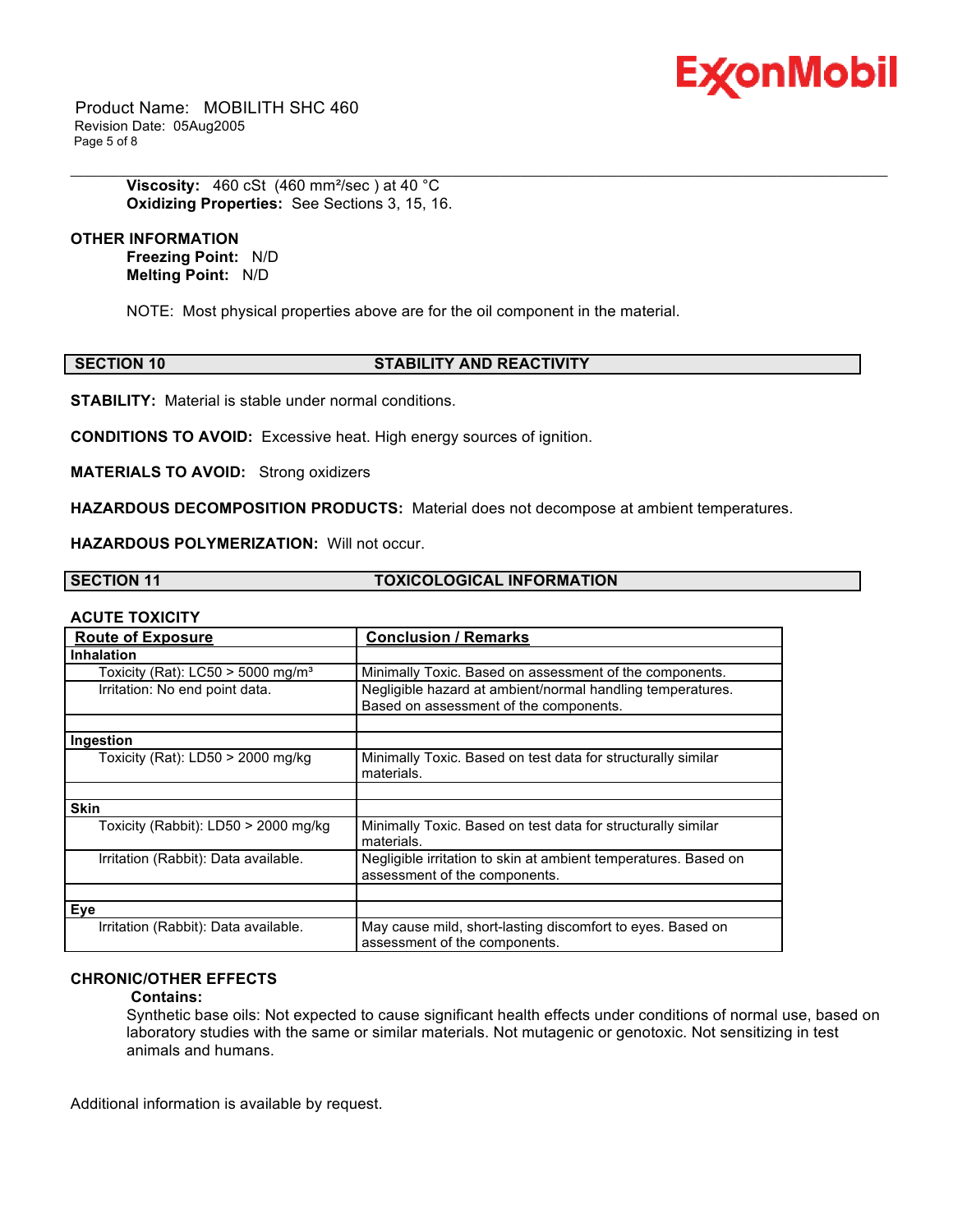

 Product Name: MOBILITH SHC 460 Revision Date: 05Aug2005 Page 5 of 8

> **Viscosity:** 460 cSt (460 mm<sup>2</sup>/sec) at 40 °C **Oxidizing Properties:** See Sections 3, 15, 16.

#### **OTHER INFORMATION**

**Freezing Point:** N/D **Melting Point:** N/D

NOTE: Most physical properties above are for the oil component in the material.

#### **SECTION 10 STABILITY AND REACTIVITY**

\_\_\_\_\_\_\_\_\_\_\_\_\_\_\_\_\_\_\_\_\_\_\_\_\_\_\_\_\_\_\_\_\_\_\_\_\_\_\_\_\_\_\_\_\_\_\_\_\_\_\_\_\_\_\_\_\_\_\_\_\_\_\_\_\_\_\_\_\_\_\_\_\_\_\_\_\_\_\_\_\_\_\_\_\_\_\_\_\_\_\_\_\_\_\_\_\_\_\_\_\_\_\_\_\_\_\_\_\_\_\_\_\_\_\_\_\_\_

**STABILITY:** Material is stable under normal conditions.

**CONDITIONS TO AVOID:** Excessive heat. High energy sources of ignition.

**MATERIALS TO AVOID:** Strong oxidizers

**HAZARDOUS DECOMPOSITION PRODUCTS:** Material does not decompose at ambient temperatures.

**HAZARDOUS POLYMERIZATION:** Will not occur.

**SECTION 11 TOXICOLOGICAL INFORMATION** 

#### **ACUTE TOXICITY**

| .                                             |                                                                                                      |
|-----------------------------------------------|------------------------------------------------------------------------------------------------------|
| <b>Route of Exposure</b>                      | <b>Conclusion / Remarks</b>                                                                          |
| <b>Inhalation</b>                             |                                                                                                      |
| Toxicity (Rat): LC50 > 5000 mg/m <sup>3</sup> | Minimally Toxic. Based on assessment of the components.                                              |
| Irritation: No end point data.                | Negligible hazard at ambient/normal handling temperatures.<br>Based on assessment of the components. |
|                                               |                                                                                                      |
| Ingestion                                     |                                                                                                      |
| Toxicity (Rat): $LD50 > 2000$ mg/kg           | Minimally Toxic. Based on test data for structurally similar<br>materials.                           |
|                                               |                                                                                                      |
| <b>Skin</b>                                   |                                                                                                      |
| Toxicity (Rabbit): LD50 > 2000 mg/kg          | Minimally Toxic. Based on test data for structurally similar<br>materials.                           |
| Irritation (Rabbit): Data available.          | Negligible irritation to skin at ambient temperatures. Based on<br>assessment of the components.     |
|                                               |                                                                                                      |
| Eye                                           |                                                                                                      |
| Irritation (Rabbit): Data available.          | May cause mild, short-lasting discomfort to eyes. Based on<br>assessment of the components.          |

### **CHRONIC/OTHER EFFECTS**

#### **Contains:**

Synthetic base oils: Not expected to cause significant health effects under conditions of normal use, based on laboratory studies with the same or similar materials. Not mutagenic or genotoxic. Not sensitizing in test animals and humans.

Additional information is available by request.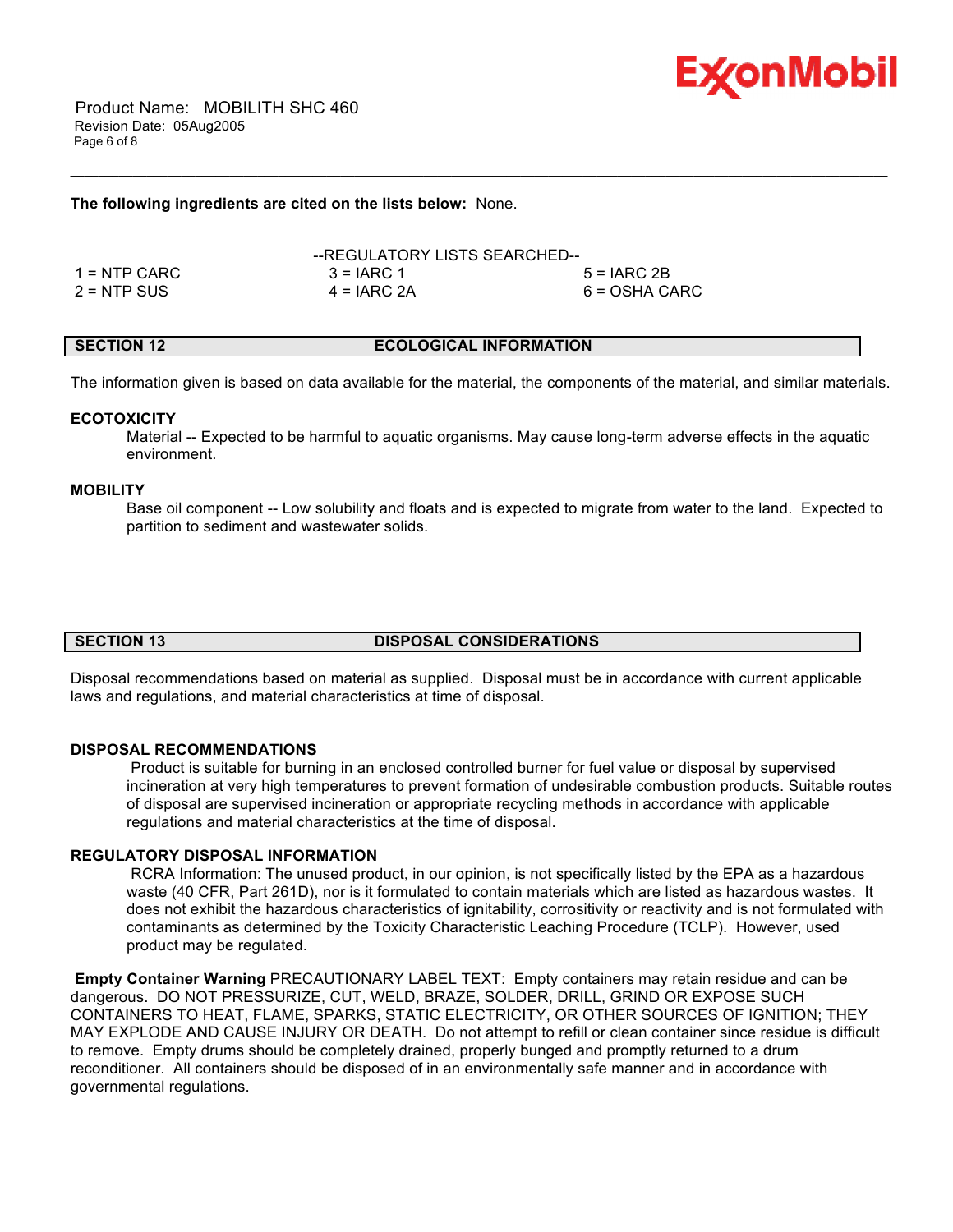

### **The following ingredients are cited on the lists below:** None.

|               | --REGULATORY LISTS SEARCHED-- |               |
|---------------|-------------------------------|---------------|
| 1 = NTP CARC  | $3 = IARC 1$                  | $5 = IARC2B$  |
| $2 = NTP$ SUS | $4 = IARC 2A$                 | 6 = OSHA CARC |

### **SECTION 12 ECOLOGICAL INFORMATION**

\_\_\_\_\_\_\_\_\_\_\_\_\_\_\_\_\_\_\_\_\_\_\_\_\_\_\_\_\_\_\_\_\_\_\_\_\_\_\_\_\_\_\_\_\_\_\_\_\_\_\_\_\_\_\_\_\_\_\_\_\_\_\_\_\_\_\_\_\_\_\_\_\_\_\_\_\_\_\_\_\_\_\_\_\_\_\_\_\_\_\_\_\_\_\_\_\_\_\_\_\_\_\_\_\_\_\_\_\_\_\_\_\_\_\_\_\_\_

The information given is based on data available for the material, the components of the material, and similar materials.

#### **ECOTOXICITY**

 Material -- Expected to be harmful to aquatic organisms. May cause long-term adverse effects in the aquatic environment.

#### **MOBILITY**

 Base oil component -- Low solubility and floats and is expected to migrate from water to the land. Expected to partition to sediment and wastewater solids.

### **SECTION 13 DISPOSAL CONSIDERATIONS**

Disposal recommendations based on material as supplied. Disposal must be in accordance with current applicable laws and regulations, and material characteristics at time of disposal.

#### **DISPOSAL RECOMMENDATIONS**

 Product is suitable for burning in an enclosed controlled burner for fuel value or disposal by supervised incineration at very high temperatures to prevent formation of undesirable combustion products. Suitable routes of disposal are supervised incineration or appropriate recycling methods in accordance with applicable regulations and material characteristics at the time of disposal.

### **REGULATORY DISPOSAL INFORMATION**

 RCRA Information: The unused product, in our opinion, is not specifically listed by the EPA as a hazardous waste (40 CFR, Part 261D), nor is it formulated to contain materials which are listed as hazardous wastes. It does not exhibit the hazardous characteristics of ignitability, corrositivity or reactivity and is not formulated with contaminants as determined by the Toxicity Characteristic Leaching Procedure (TCLP). However, used product may be regulated.

**Empty Container Warning** PRECAUTIONARY LABEL TEXT: Empty containers may retain residue and can be dangerous. DO NOT PRESSURIZE, CUT, WELD, BRAZE, SOLDER, DRILL, GRIND OR EXPOSE SUCH CONTAINERS TO HEAT, FLAME, SPARKS, STATIC ELECTRICITY, OR OTHER SOURCES OF IGNITION; THEY MAY EXPLODE AND CAUSE INJURY OR DEATH. Do not attempt to refill or clean container since residue is difficult to remove. Empty drums should be completely drained, properly bunged and promptly returned to a drum reconditioner. All containers should be disposed of in an environmentally safe manner and in accordance with governmental regulations.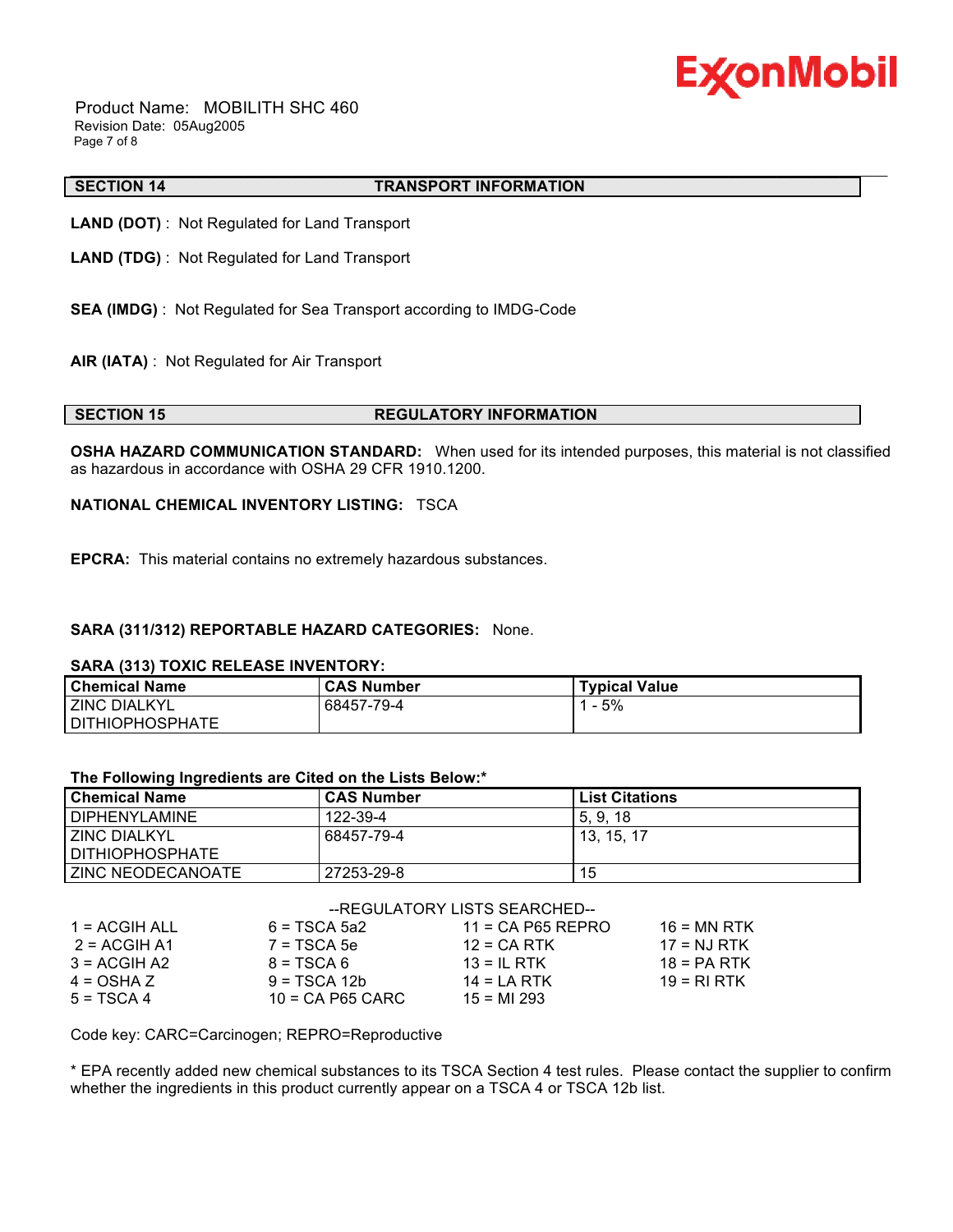

 Product Name: MOBILITH SHC 460 Revision Date: 05Aug2005 Page 7 of 8

#### \_\_\_\_\_\_\_\_\_\_\_\_\_\_\_\_\_\_\_\_\_\_\_\_\_\_\_\_\_\_\_\_\_\_\_\_\_\_\_\_\_\_\_\_\_\_\_\_\_\_\_\_\_\_\_\_\_\_\_\_\_\_\_\_\_\_\_\_\_\_\_\_\_\_\_\_\_\_\_\_\_\_\_\_\_\_\_\_\_\_\_\_\_\_\_\_\_\_\_\_\_\_\_\_\_\_\_\_\_\_\_\_\_\_\_\_\_\_ **SECTION 14 TRANSPORT INFORMATION**

**LAND (DOT)** : Not Regulated for Land Transport

- **LAND (TDG)** : Not Regulated for Land Transport
- **SEA (IMDG)** : Not Regulated for Sea Transport according to IMDG-Code
- **AIR (IATA)** : Not Regulated for Air Transport

#### **SECTION 15 REGULATORY INFORMATION**

**OSHA HAZARD COMMUNICATION STANDARD:** When used for its intended purposes, this material is not classified as hazardous in accordance with OSHA 29 CFR 1910.1200.

#### **NATIONAL CHEMICAL INVENTORY LISTING:** TSCA

**EPCRA:** This material contains no extremely hazardous substances.

### **SARA (311/312) REPORTABLE HAZARD CATEGORIES:** None.

#### **SARA (313) TOXIC RELEASE INVENTORY:**

| <b>Chemical Name</b>   | <b>CAS Number</b> | <b>Typical Value</b> |
|------------------------|-------------------|----------------------|
| <b>ZINC DIALKYL</b>    | 68457-79-4        | 5%                   |
| <b>DITHIOPHOSPHATE</b> |                   |                      |

#### **The Following Ingredients are Cited on the Lists Below:\***

| <b>Chemical Name</b> | <b>CAS Number</b> | <b>List Citations</b> |
|----------------------|-------------------|-----------------------|
| <b>DIPHENYLAMINE</b> | 122-39-4          | 5.9.18                |
| <b>ZINC DIALKYL</b>  | 68457-79-4        | 13, 15, 17            |
| I DITHIOPHOSPHATE    |                   |                       |
| ZINC NEODECANOATE    | 27253-29-8        | 15                    |

## --REGULATORY LISTS SEARCHED--

| 1 = ACGIH ALL | $6 = TSCA$ 5a2     | $11 = CA$ P65 REPRO | $16 = MN$ RTK |
|---------------|--------------------|---------------------|---------------|
| 2 = ACGIH A1  | $7 = TSCA5e$       | $12$ = CA RTK       | $17 = NJ RTK$ |
| $3 = ACGH A2$ | $8 = TSCA6$        | $13 = IL$ RTK       | $18 = PA RTK$ |
| $4 = OSHA Z$  | $9 = TSCA 12b$     | $14 = LA RTK$       | $19 = RIRTK$  |
| $5 = TSCA4$   | $10 = CA$ P65 CARC | $15 = M1 293$       |               |

Code key: CARC=Carcinogen; REPRO=Reproductive

\* EPA recently added new chemical substances to its TSCA Section 4 test rules. Please contact the supplier to confirm whether the ingredients in this product currently appear on a TSCA 4 or TSCA 12b list.